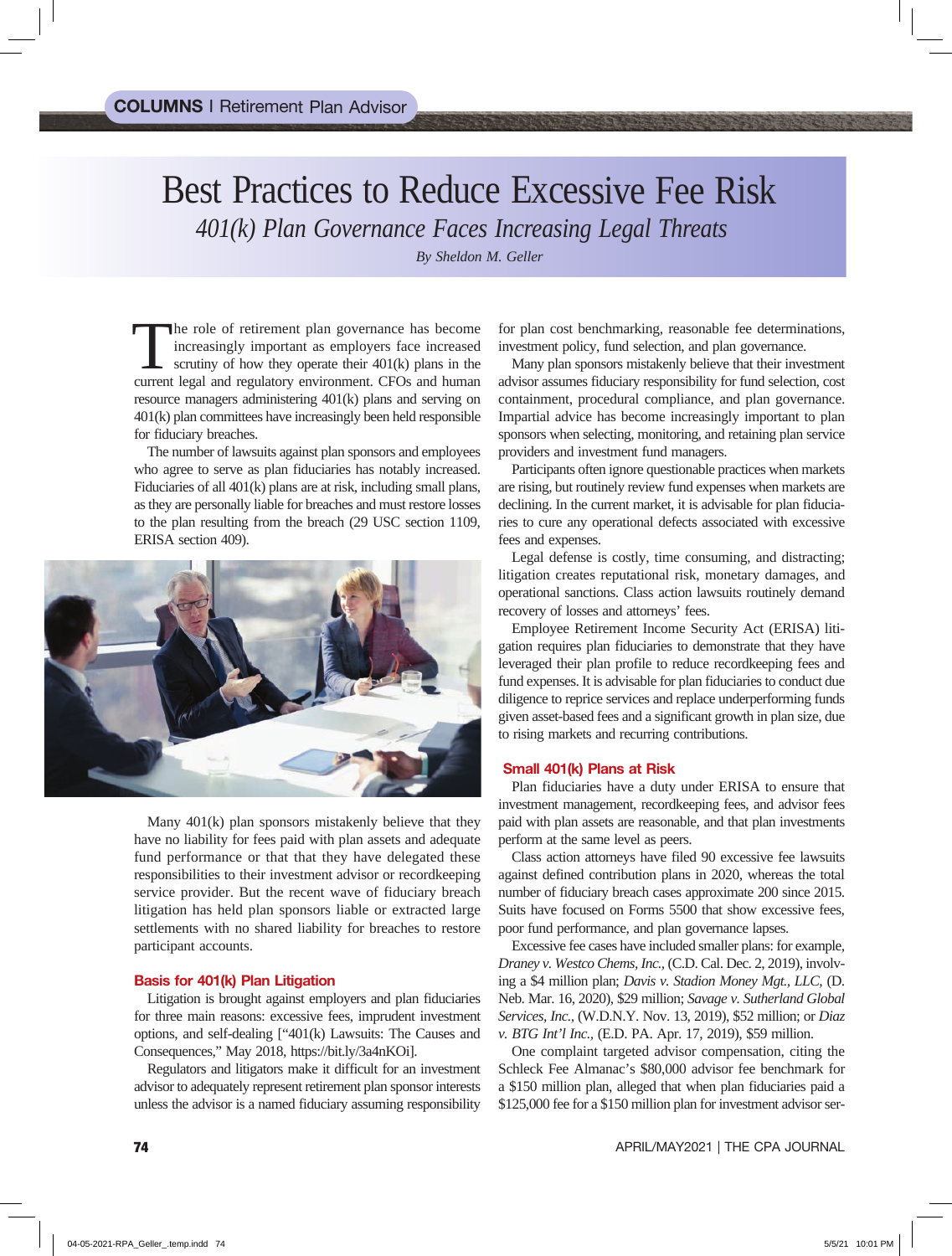# Best Practices to Reduce Excessive Fee Risk *401(k) Plan Governance Faces Increasing Legal Threats*

*By Sheldon M. Geller*

The role of retirement plan governance has become increasingly important as employers face increased scrutiny of how they operate their 401(k) plans in the current legal and regulatory environment. CFOs and human resource managers administering 401(k) plans and serving on 401(k) plan committees have increasingly been held responsible for fiduciary breaches.

The number of lawsuits against plan sponsors and employees who agree to serve as plan fiduciaries has notably increased. Fiduciaries of all 401(k) plans are at risk, including small plans, as they are personally liable for breaches and must restore losses to the plan resulting from the breach (29 USC section 1109, ERISA section 409).



Many 401(k) plan sponsors mistakenly believe that they have no liability for fees paid with plan assets and adequate fund performance or that that they have delegated these responsibilities to their investment advisor or recordkeeping service provider. But the recent wave of fiduciary breach litigation has held plan sponsors liable or extracted large settlements with no shared liability for breaches to restore participant accounts.

## Basis for 401(k) Plan Litigation

Litigation is brought against employers and plan fiduciaries for three main reasons: excessive fees, imprudent investment options, and self-dealing ["401(k) Lawsuits: The Causes and Consequences," May 2018, https://bit.ly/3a4nKOi].

Regulators and litigators make it difficult for an investment advisor to adequately represent retirement plan sponsor interests unless the advisor is a named fiduciary assuming responsibility

for plan cost benchmarking, reasonable fee determinations, investment policy, fund selection, and plan governance.

Many plan sponsors mistakenly believe that their investment advisor assumes fiduciary responsibility for fund selection, cost containment, procedural compliance, and plan governance. Impartial advice has become increasingly important to plan sponsors when selecting, monitoring, and retaining plan service providers and investment fund managers.

Participants often ignore questionable practices when markets are rising, but routinely review fund expenses when markets are declining. In the current market, it is advisable for plan fiduciaries to cure any operational defects associated with excessive fees and expenses.

Legal defense is costly, time consuming, and distracting; litigation creates reputational risk, monetary damages, and operational sanctions. Class action lawsuits routinely demand recovery of losses and attorneys' fees.

Employee Retirement Income Security Act (ERISA) litigation requires plan fiduciaries to demonstrate that they have leveraged their plan profile to reduce recordkeeping fees and fund expenses. It is advisable for plan fiduciaries to conduct due diligence to reprice services and replace underperforming funds given asset-based fees and a significant growth in plan size, due to rising markets and recurring contributions.

#### Small 401(k) Plans at Risk

Plan fiduciaries have a duty under ERISA to ensure that investment management, recordkeeping fees, and advisor fees paid with plan assets are reasonable, and that plan investments perform at the same level as peers.

Class action attorneys have filed 90 excessive fee lawsuits against defined contribution plans in 2020, whereas the total number of fiduciary breach cases approximate 200 since 2015. Suits have focused on Forms 5500 that show excessive fees, poor fund performance, and plan governance lapses.

Excessive fee cases have included smaller plans: for example, *Draney v. Westco Chems, Inc.,* (C.D. Cal. Dec. 2, 2019), involving a \$4 million plan; *Davis v. Stadion Money Mgt., LLC,* (D. Neb. Mar. 16, 2020), \$29 million; *Savage v. Sutherland Global Services, Inc.,* (W.D.N.Y. Nov. 13, 2019), \$52 million; or *Diaz v. BTG Int'l Inc.,* (E.D. PA. Apr. 17, 2019), \$59 million.

One complaint targeted advisor compensation, citing the Schleck Fee Almanac's \$80,000 advisor fee benchmark for a \$150 million plan, alleged that when plan fiduciaries paid a \$125,000 fee for a \$150 million plan for investment advisor ser-

74 APRIL/MAY2021 | THE CPA JOURNAL